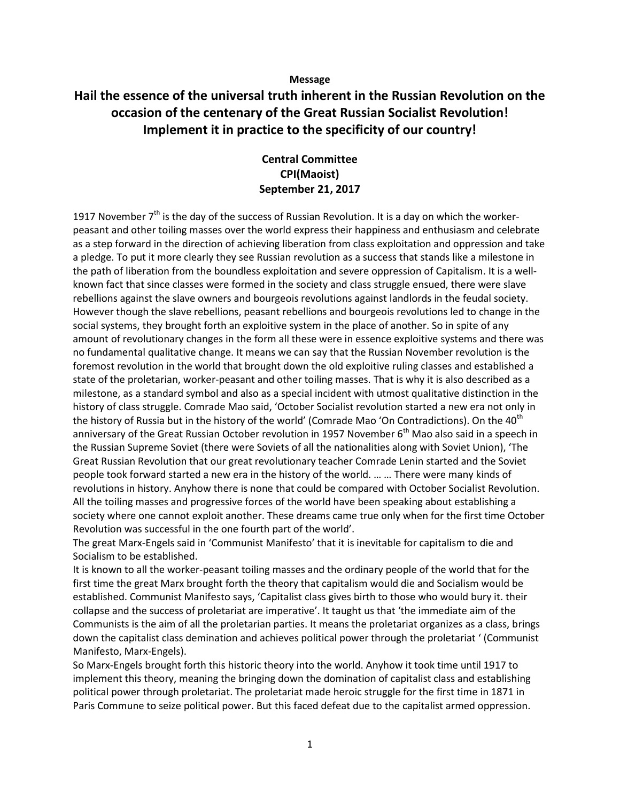### **Message**

# **Hail the essence of the universal truth inherent in the Russian Revolution on the occasion of the centenary of the Great Russian Socialist Revolution! Implement it in practice to the specificity of our country!**

# **Central Committee CPI(Maoist) September 21, 2017**

1917 November  $7<sup>th</sup>$  is the day of the success of Russian Revolution. It is a day on which the workerpeasant and other toiling masses over the world express their happiness and enthusiasm and celebrate as a step forward in the direction of achieving liberation from class exploitation and oppression and take a pledge. To put it more clearly they see Russian revolution as a success that stands like a milestone in the path of liberation from the boundless exploitation and severe oppression of Capitalism. It is a wellknown fact that since classes were formed in the society and class struggle ensued, there were slave rebellions against the slave owners and bourgeois revolutions against landlords in the feudal society. However though the slave rebellions, peasant rebellions and bourgeois revolutions led to change in the social systems, they brought forth an exploitive system in the place of another. So in spite of any amount of revolutionary changes in the form all these were in essence exploitive systems and there was no fundamental qualitative change. It means we can say that the Russian November revolution is the foremost revolution in the world that brought down the old exploitive ruling classes and established a state of the proletarian, worker-peasant and other toiling masses. That is why it is also described as a milestone, as a standard symbol and also as a special incident with utmost qualitative distinction in the history of class struggle. Comrade Mao said, 'October Socialist revolution started a new era not only in the history of Russia but in the history of the world' (Comrade Mao 'On Contradictions). On the 40<sup>th</sup> anniversary of the Great Russian October revolution in 1957 November  $6<sup>th</sup>$  Mao also said in a speech in the Russian Supreme Soviet (there were Soviets of all the nationalities along with Soviet Union), 'The Great Russian Revolution that our great revolutionary teacher Comrade Lenin started and the Soviet people took forward started a new era in the history of the world. … … There were many kinds of revolutions in history. Anyhow there is none that could be compared with October Socialist Revolution. All the toiling masses and progressive forces of the world have been speaking about establishing a society where one cannot exploit another. These dreams came true only when for the first time October Revolution was successful in the one fourth part of the world'.

The great Marx-Engels said in 'Communist Manifesto' that it is inevitable for capitalism to die and Socialism to be established.

It is known to all the worker-peasant toiling masses and the ordinary people of the world that for the first time the great Marx brought forth the theory that capitalism would die and Socialism would be established. Communist Manifesto says, 'Capitalist class gives birth to those who would bury it. their collapse and the success of proletariat are imperative'. It taught us that 'the immediate aim of the Communists is the aim of all the proletarian parties. It means the proletariat organizes as a class, brings down the capitalist class demination and achieves political power through the proletariat ' (Communist Manifesto, Marx-Engels).

So Marx-Engels brought forth this historic theory into the world. Anyhow it took time until 1917 to implement this theory, meaning the bringing down the domination of capitalist class and establishing political power through proletariat. The proletariat made heroic struggle for the first time in 1871 in Paris Commune to seize political power. But this faced defeat due to the capitalist armed oppression.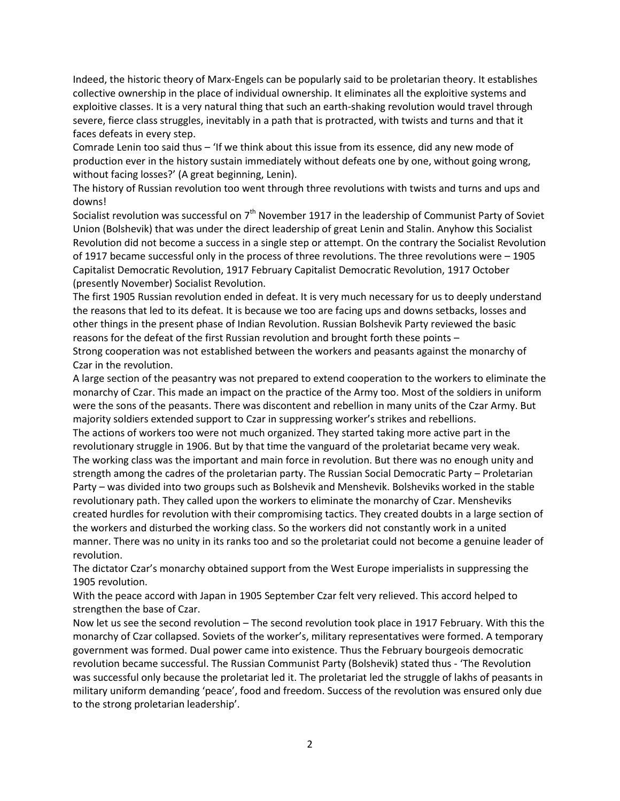Indeed, the historic theory of Marx-Engels can be popularly said to be proletarian theory. It establishes collective ownership in the place of individual ownership. It eliminates all the exploitive systems and exploitive classes. It is a very natural thing that such an earth-shaking revolution would travel through severe, fierce class struggles, inevitably in a path that is protracted, with twists and turns and that it faces defeats in every step.

Comrade Lenin too said thus – 'If we think about this issue from its essence, did any new mode of production ever in the history sustain immediately without defeats one by one, without going wrong, without facing losses?' (A great beginning, Lenin).

The history of Russian revolution too went through three revolutions with twists and turns and ups and downs!

Socialist revolution was successful on  $7<sup>th</sup>$  November 1917 in the leadership of Communist Party of Soviet Union (Bolshevik) that was under the direct leadership of great Lenin and Stalin. Anyhow this Socialist Revolution did not become a success in a single step or attempt. On the contrary the Socialist Revolution of 1917 became successful only in the process of three revolutions. The three revolutions were – 1905 Capitalist Democratic Revolution, 1917 February Capitalist Democratic Revolution, 1917 October (presently November) Socialist Revolution.

The first 1905 Russian revolution ended in defeat. It is very much necessary for us to deeply understand the reasons that led to its defeat. It is because we too are facing ups and downs setbacks, losses and other things in the present phase of Indian Revolution. Russian Bolshevik Party reviewed the basic reasons for the defeat of the first Russian revolution and brought forth these points –

Strong cooperation was not established between the workers and peasants against the monarchy of Czar in the revolution.

A large section of the peasantry was not prepared to extend cooperation to the workers to eliminate the monarchy of Czar. This made an impact on the practice of the Army too. Most of the soldiers in uniform were the sons of the peasants. There was discontent and rebellion in many units of the Czar Army. But majority soldiers extended support to Czar in suppressing worker's strikes and rebellions.

The actions of workers too were not much organized. They started taking more active part in the revolutionary struggle in 1906. But by that time the vanguard of the proletariat became very weak. The working class was the important and main force in revolution. But there was no enough unity and strength among the cadres of the proletarian party. The Russian Social Democratic Party – Proletarian Party – was divided into two groups such as Bolshevik and Menshevik. Bolsheviks worked in the stable revolutionary path. They called upon the workers to eliminate the monarchy of Czar. Mensheviks created hurdles for revolution with their compromising tactics. They created doubts in a large section of the workers and disturbed the working class. So the workers did not constantly work in a united manner. There was no unity in its ranks too and so the proletariat could not become a genuine leader of revolution.

The dictator Czar's monarchy obtained support from the West Europe imperialists in suppressing the 1905 revolution.

With the peace accord with Japan in 1905 September Czar felt very relieved. This accord helped to strengthen the base of Czar.

Now let us see the second revolution – The second revolution took place in 1917 February. With this the monarchy of Czar collapsed. Soviets of the worker's, military representatives were formed. A temporary government was formed. Dual power came into existence. Thus the February bourgeois democratic revolution became successful. The Russian Communist Party (Bolshevik) stated thus - 'The Revolution was successful only because the proletariat led it. The proletariat led the struggle of lakhs of peasants in military uniform demanding 'peace', food and freedom. Success of the revolution was ensured only due to the strong proletarian leadership'.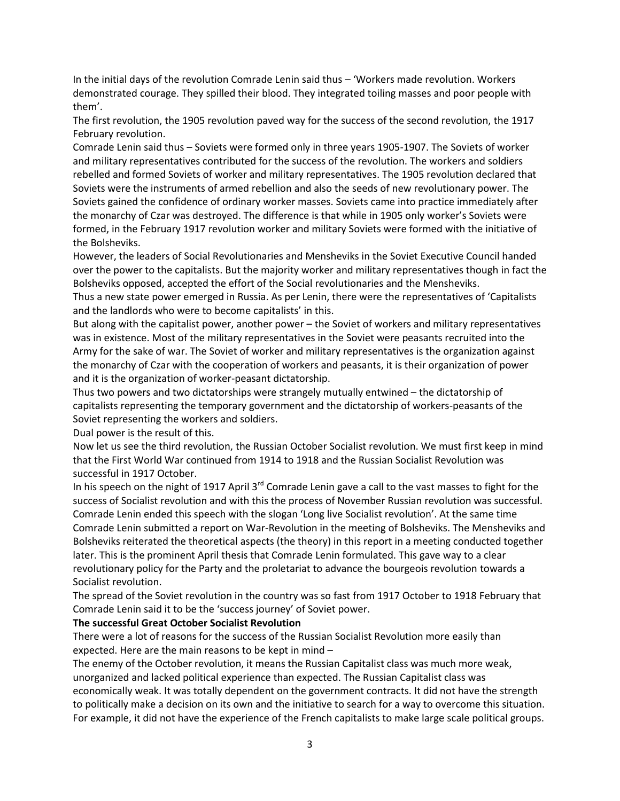In the initial days of the revolution Comrade Lenin said thus – 'Workers made revolution. Workers demonstrated courage. They spilled their blood. They integrated toiling masses and poor people with them'.

The first revolution, the 1905 revolution paved way for the success of the second revolution, the 1917 February revolution.

Comrade Lenin said thus – Soviets were formed only in three years 1905-1907. The Soviets of worker and military representatives contributed for the success of the revolution. The workers and soldiers rebelled and formed Soviets of worker and military representatives. The 1905 revolution declared that Soviets were the instruments of armed rebellion and also the seeds of new revolutionary power. The Soviets gained the confidence of ordinary worker masses. Soviets came into practice immediately after the monarchy of Czar was destroyed. The difference is that while in 1905 only worker's Soviets were formed, in the February 1917 revolution worker and military Soviets were formed with the initiative of the Bolsheviks.

However, the leaders of Social Revolutionaries and Mensheviks in the Soviet Executive Council handed over the power to the capitalists. But the majority worker and military representatives though in fact the Bolsheviks opposed, accepted the effort of the Social revolutionaries and the Mensheviks.

Thus a new state power emerged in Russia. As per Lenin, there were the representatives of 'Capitalists and the landlords who were to become capitalists' in this.

But along with the capitalist power, another power – the Soviet of workers and military representatives was in existence. Most of the military representatives in the Soviet were peasants recruited into the Army for the sake of war. The Soviet of worker and military representatives is the organization against the monarchy of Czar with the cooperation of workers and peasants, it is their organization of power and it is the organization of worker-peasant dictatorship.

Thus two powers and two dictatorships were strangely mutually entwined – the dictatorship of capitalists representing the temporary government and the dictatorship of workers-peasants of the Soviet representing the workers and soldiers.

Dual power is the result of this.

Now let us see the third revolution, the Russian October Socialist revolution. We must first keep in mind that the First World War continued from 1914 to 1918 and the Russian Socialist Revolution was successful in 1917 October.

In his speech on the night of 1917 April 3<sup>rd</sup> Comrade Lenin gave a call to the vast masses to fight for the success of Socialist revolution and with this the process of November Russian revolution was successful. Comrade Lenin ended this speech with the slogan 'Long live Socialist revolution'. At the same time Comrade Lenin submitted a report on War-Revolution in the meeting of Bolsheviks. The Mensheviks and Bolsheviks reiterated the theoretical aspects (the theory) in this report in a meeting conducted together later. This is the prominent April thesis that Comrade Lenin formulated. This gave way to a clear revolutionary policy for the Party and the proletariat to advance the bourgeois revolution towards a Socialist revolution.

The spread of the Soviet revolution in the country was so fast from 1917 October to 1918 February that Comrade Lenin said it to be the 'success journey' of Soviet power.

# **The successful Great October Socialist Revolution**

There were a lot of reasons for the success of the Russian Socialist Revolution more easily than expected. Here are the main reasons to be kept in mind –

The enemy of the October revolution, it means the Russian Capitalist class was much more weak, unorganized and lacked political experience than expected. The Russian Capitalist class was economically weak. It was totally dependent on the government contracts. It did not have the strength to politically make a decision on its own and the initiative to search for a way to overcome this situation. For example, it did not have the experience of the French capitalists to make large scale political groups.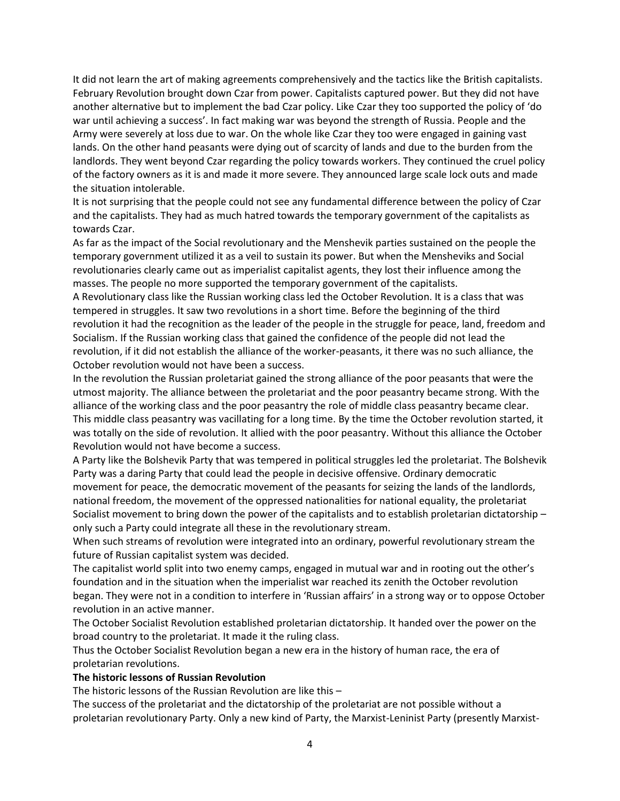It did not learn the art of making agreements comprehensively and the tactics like the British capitalists. February Revolution brought down Czar from power. Capitalists captured power. But they did not have another alternative but to implement the bad Czar policy. Like Czar they too supported the policy of 'do war until achieving a success'. In fact making war was beyond the strength of Russia. People and the Army were severely at loss due to war. On the whole like Czar they too were engaged in gaining vast lands. On the other hand peasants were dying out of scarcity of lands and due to the burden from the landlords. They went beyond Czar regarding the policy towards workers. They continued the cruel policy of the factory owners as it is and made it more severe. They announced large scale lock outs and made the situation intolerable.

It is not surprising that the people could not see any fundamental difference between the policy of Czar and the capitalists. They had as much hatred towards the temporary government of the capitalists as towards Czar.

As far as the impact of the Social revolutionary and the Menshevik parties sustained on the people the temporary government utilized it as a veil to sustain its power. But when the Mensheviks and Social revolutionaries clearly came out as imperialist capitalist agents, they lost their influence among the masses. The people no more supported the temporary government of the capitalists.

A Revolutionary class like the Russian working class led the October Revolution. It is a class that was tempered in struggles. It saw two revolutions in a short time. Before the beginning of the third revolution it had the recognition as the leader of the people in the struggle for peace, land, freedom and Socialism. If the Russian working class that gained the confidence of the people did not lead the revolution, if it did not establish the alliance of the worker-peasants, it there was no such alliance, the October revolution would not have been a success.

In the revolution the Russian proletariat gained the strong alliance of the poor peasants that were the utmost majority. The alliance between the proletariat and the poor peasantry became strong. With the alliance of the working class and the poor peasantry the role of middle class peasantry became clear. This middle class peasantry was vacillating for a long time. By the time the October revolution started, it was totally on the side of revolution. It allied with the poor peasantry. Without this alliance the October Revolution would not have become a success.

A Party like the Bolshevik Party that was tempered in political struggles led the proletariat. The Bolshevik Party was a daring Party that could lead the people in decisive offensive. Ordinary democratic movement for peace, the democratic movement of the peasants for seizing the lands of the landlords, national freedom, the movement of the oppressed nationalities for national equality, the proletariat Socialist movement to bring down the power of the capitalists and to establish proletarian dictatorship – only such a Party could integrate all these in the revolutionary stream.

When such streams of revolution were integrated into an ordinary, powerful revolutionary stream the future of Russian capitalist system was decided.

The capitalist world split into two enemy camps, engaged in mutual war and in rooting out the other's foundation and in the situation when the imperialist war reached its zenith the October revolution began. They were not in a condition to interfere in 'Russian affairs' in a strong way or to oppose October revolution in an active manner.

The October Socialist Revolution established proletarian dictatorship. It handed over the power on the broad country to the proletariat. It made it the ruling class.

Thus the October Socialist Revolution began a new era in the history of human race, the era of proletarian revolutions.

# **The historic lessons of Russian Revolution**

The historic lessons of the Russian Revolution are like this –

The success of the proletariat and the dictatorship of the proletariat are not possible without a proletarian revolutionary Party. Only a new kind of Party, the Marxist-Leninist Party (presently Marxist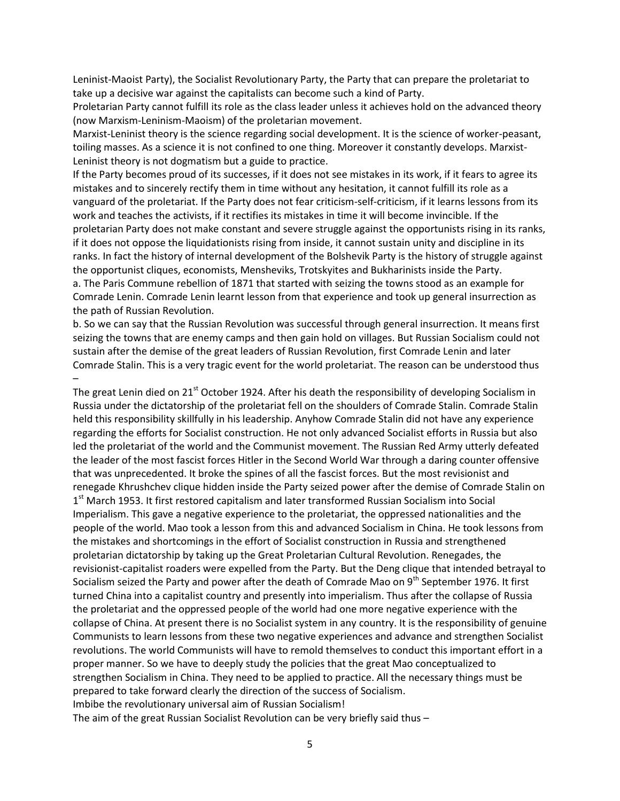Leninist-Maoist Party), the Socialist Revolutionary Party, the Party that can prepare the proletariat to take up a decisive war against the capitalists can become such a kind of Party.

Proletarian Party cannot fulfill its role as the class leader unless it achieves hold on the advanced theory (now Marxism-Leninism-Maoism) of the proletarian movement.

Marxist-Leninist theory is the science regarding social development. It is the science of worker-peasant, toiling masses. As a science it is not confined to one thing. Moreover it constantly develops. Marxist-Leninist theory is not dogmatism but a guide to practice.

If the Party becomes proud of its successes, if it does not see mistakes in its work, if it fears to agree its mistakes and to sincerely rectify them in time without any hesitation, it cannot fulfill its role as a vanguard of the proletariat. If the Party does not fear criticism-self-criticism, if it learns lessons from its work and teaches the activists, if it rectifies its mistakes in time it will become invincible. If the proletarian Party does not make constant and severe struggle against the opportunists rising in its ranks, if it does not oppose the liquidationists rising from inside, it cannot sustain unity and discipline in its ranks. In fact the history of internal development of the Bolshevik Party is the history of struggle against the opportunist cliques, economists, Mensheviks, Trotskyites and Bukharinists inside the Party. a. The Paris Commune rebellion of 1871 that started with seizing the towns stood as an example for Comrade Lenin. Comrade Lenin learnt lesson from that experience and took up general insurrection as the path of Russian Revolution.

b. So we can say that the Russian Revolution was successful through general insurrection. It means first seizing the towns that are enemy camps and then gain hold on villages. But Russian Socialism could not sustain after the demise of the great leaders of Russian Revolution, first Comrade Lenin and later Comrade Stalin. This is a very tragic event for the world proletariat. The reason can be understood thus –

The great Lenin died on 21<sup>st</sup> October 1924. After his death the responsibility of developing Socialism in Russia under the dictatorship of the proletariat fell on the shoulders of Comrade Stalin. Comrade Stalin held this responsibility skillfully in his leadership. Anyhow Comrade Stalin did not have any experience regarding the efforts for Socialist construction. He not only advanced Socialist efforts in Russia but also led the proletariat of the world and the Communist movement. The Russian Red Army utterly defeated the leader of the most fascist forces Hitler in the Second World War through a daring counter offensive that was unprecedented. It broke the spines of all the fascist forces. But the most revisionist and renegade Khrushchev clique hidden inside the Party seized power after the demise of Comrade Stalin on 1<sup>st</sup> March 1953. It first restored capitalism and later transformed Russian Socialism into Social Imperialism. This gave a negative experience to the proletariat, the oppressed nationalities and the people of the world. Mao took a lesson from this and advanced Socialism in China. He took lessons from the mistakes and shortcomings in the effort of Socialist construction in Russia and strengthened proletarian dictatorship by taking up the Great Proletarian Cultural Revolution. Renegades, the revisionist-capitalist roaders were expelled from the Party. But the Deng clique that intended betrayal to Socialism seized the Party and power after the death of Comrade Mao on  $9<sup>th</sup>$  September 1976. It first turned China into a capitalist country and presently into imperialism. Thus after the collapse of Russia the proletariat and the oppressed people of the world had one more negative experience with the collapse of China. At present there is no Socialist system in any country. It is the responsibility of genuine Communists to learn lessons from these two negative experiences and advance and strengthen Socialist revolutions. The world Communists will have to remold themselves to conduct this important effort in a proper manner. So we have to deeply study the policies that the great Mao conceptualized to strengthen Socialism in China. They need to be applied to practice. All the necessary things must be prepared to take forward clearly the direction of the success of Socialism. Imbibe the revolutionary universal aim of Russian Socialism!

The aim of the great Russian Socialist Revolution can be very briefly said thus –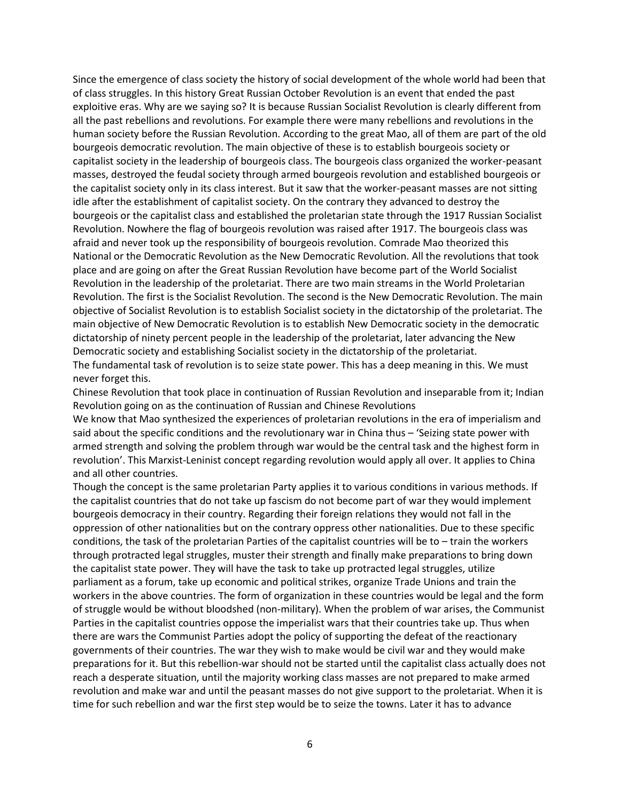Since the emergence of class society the history of social development of the whole world had been that of class struggles. In this history Great Russian October Revolution is an event that ended the past exploitive eras. Why are we saying so? It is because Russian Socialist Revolution is clearly different from all the past rebellions and revolutions. For example there were many rebellions and revolutions in the human society before the Russian Revolution. According to the great Mao, all of them are part of the old bourgeois democratic revolution. The main objective of these is to establish bourgeois society or capitalist society in the leadership of bourgeois class. The bourgeois class organized the worker-peasant masses, destroyed the feudal society through armed bourgeois revolution and established bourgeois or the capitalist society only in its class interest. But it saw that the worker-peasant masses are not sitting idle after the establishment of capitalist society. On the contrary they advanced to destroy the bourgeois or the capitalist class and established the proletarian state through the 1917 Russian Socialist Revolution. Nowhere the flag of bourgeois revolution was raised after 1917. The bourgeois class was afraid and never took up the responsibility of bourgeois revolution. Comrade Mao theorized this National or the Democratic Revolution as the New Democratic Revolution. All the revolutions that took place and are going on after the Great Russian Revolution have become part of the World Socialist Revolution in the leadership of the proletariat. There are two main streams in the World Proletarian Revolution. The first is the Socialist Revolution. The second is the New Democratic Revolution. The main objective of Socialist Revolution is to establish Socialist society in the dictatorship of the proletariat. The main objective of New Democratic Revolution is to establish New Democratic society in the democratic dictatorship of ninety percent people in the leadership of the proletariat, later advancing the New Democratic society and establishing Socialist society in the dictatorship of the proletariat. The fundamental task of revolution is to seize state power. This has a deep meaning in this. We must never forget this.

Chinese Revolution that took place in continuation of Russian Revolution and inseparable from it; Indian Revolution going on as the continuation of Russian and Chinese Revolutions

We know that Mao synthesized the experiences of proletarian revolutions in the era of imperialism and said about the specific conditions and the revolutionary war in China thus – 'Seizing state power with armed strength and solving the problem through war would be the central task and the highest form in revolution'. This Marxist-Leninist concept regarding revolution would apply all over. It applies to China and all other countries.

Though the concept is the same proletarian Party applies it to various conditions in various methods. If the capitalist countries that do not take up fascism do not become part of war they would implement bourgeois democracy in their country. Regarding their foreign relations they would not fall in the oppression of other nationalities but on the contrary oppress other nationalities. Due to these specific conditions, the task of the proletarian Parties of the capitalist countries will be to – train the workers through protracted legal struggles, muster their strength and finally make preparations to bring down the capitalist state power. They will have the task to take up protracted legal struggles, utilize parliament as a forum, take up economic and political strikes, organize Trade Unions and train the workers in the above countries. The form of organization in these countries would be legal and the form of struggle would be without bloodshed (non-military). When the problem of war arises, the Communist Parties in the capitalist countries oppose the imperialist wars that their countries take up. Thus when there are wars the Communist Parties adopt the policy of supporting the defeat of the reactionary governments of their countries. The war they wish to make would be civil war and they would make preparations for it. But this rebellion-war should not be started until the capitalist class actually does not reach a desperate situation, until the majority working class masses are not prepared to make armed revolution and make war and until the peasant masses do not give support to the proletariat. When it is time for such rebellion and war the first step would be to seize the towns. Later it has to advance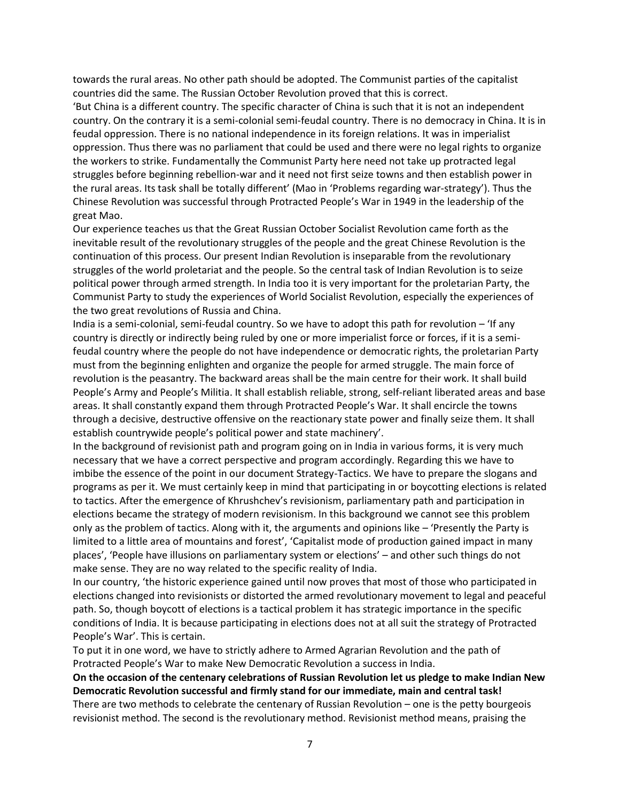towards the rural areas. No other path should be adopted. The Communist parties of the capitalist countries did the same. The Russian October Revolution proved that this is correct.

'But China is a different country. The specific character of China is such that it is not an independent country. On the contrary it is a semi-colonial semi-feudal country. There is no democracy in China. It is in feudal oppression. There is no national independence in its foreign relations. It was in imperialist oppression. Thus there was no parliament that could be used and there were no legal rights to organize the workers to strike. Fundamentally the Communist Party here need not take up protracted legal struggles before beginning rebellion-war and it need not first seize towns and then establish power in the rural areas. Its task shall be totally different' (Mao in 'Problems regarding war-strategy'). Thus the Chinese Revolution was successful through Protracted People's War in 1949 in the leadership of the great Mao.

Our experience teaches us that the Great Russian October Socialist Revolution came forth as the inevitable result of the revolutionary struggles of the people and the great Chinese Revolution is the continuation of this process. Our present Indian Revolution is inseparable from the revolutionary struggles of the world proletariat and the people. So the central task of Indian Revolution is to seize political power through armed strength. In India too it is very important for the proletarian Party, the Communist Party to study the experiences of World Socialist Revolution, especially the experiences of the two great revolutions of Russia and China.

India is a semi-colonial, semi-feudal country. So we have to adopt this path for revolution – 'If any country is directly or indirectly being ruled by one or more imperialist force or forces, if it is a semifeudal country where the people do not have independence or democratic rights, the proletarian Party must from the beginning enlighten and organize the people for armed struggle. The main force of revolution is the peasantry. The backward areas shall be the main centre for their work. It shall build People's Army and People's Militia. It shall establish reliable, strong, self-reliant liberated areas and base areas. It shall constantly expand them through Protracted People's War. It shall encircle the towns through a decisive, destructive offensive on the reactionary state power and finally seize them. It shall establish countrywide people's political power and state machinery'.

In the background of revisionist path and program going on in India in various forms, it is very much necessary that we have a correct perspective and program accordingly. Regarding this we have to imbibe the essence of the point in our document Strategy-Tactics. We have to prepare the slogans and programs as per it. We must certainly keep in mind that participating in or boycotting elections is related to tactics. After the emergence of Khrushchev's revisionism, parliamentary path and participation in elections became the strategy of modern revisionism. In this background we cannot see this problem only as the problem of tactics. Along with it, the arguments and opinions like – 'Presently the Party is limited to a little area of mountains and forest', 'Capitalist mode of production gained impact in many places', 'People have illusions on parliamentary system or elections' – and other such things do not make sense. They are no way related to the specific reality of India.

In our country, 'the historic experience gained until now proves that most of those who participated in elections changed into revisionists or distorted the armed revolutionary movement to legal and peaceful path. So, though boycott of elections is a tactical problem it has strategic importance in the specific conditions of India. It is because participating in elections does not at all suit the strategy of Protracted People's War'. This is certain.

To put it in one word, we have to strictly adhere to Armed Agrarian Revolution and the path of Protracted People's War to make New Democratic Revolution a success in India.

**On the occasion of the centenary celebrations of Russian Revolution let us pledge to make Indian New Democratic Revolution successful and firmly stand for our immediate, main and central task!**

There are two methods to celebrate the centenary of Russian Revolution – one is the petty bourgeois revisionist method. The second is the revolutionary method. Revisionist method means, praising the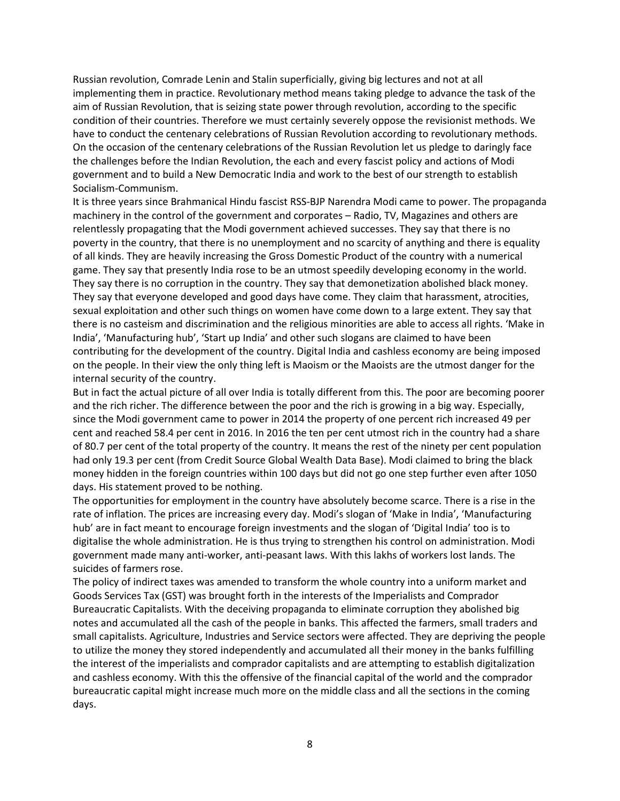Russian revolution, Comrade Lenin and Stalin superficially, giving big lectures and not at all implementing them in practice. Revolutionary method means taking pledge to advance the task of the aim of Russian Revolution, that is seizing state power through revolution, according to the specific condition of their countries. Therefore we must certainly severely oppose the revisionist methods. We have to conduct the centenary celebrations of Russian Revolution according to revolutionary methods. On the occasion of the centenary celebrations of the Russian Revolution let us pledge to daringly face the challenges before the Indian Revolution, the each and every fascist policy and actions of Modi government and to build a New Democratic India and work to the best of our strength to establish Socialism-Communism.

It is three years since Brahmanical Hindu fascist RSS-BJP Narendra Modi came to power. The propaganda machinery in the control of the government and corporates – Radio, TV, Magazines and others are relentlessly propagating that the Modi government achieved successes. They say that there is no poverty in the country, that there is no unemployment and no scarcity of anything and there is equality of all kinds. They are heavily increasing the Gross Domestic Product of the country with a numerical game. They say that presently India rose to be an utmost speedily developing economy in the world. They say there is no corruption in the country. They say that demonetization abolished black money. They say that everyone developed and good days have come. They claim that harassment, atrocities, sexual exploitation and other such things on women have come down to a large extent. They say that there is no casteism and discrimination and the religious minorities are able to access all rights. 'Make in India', 'Manufacturing hub', 'Start up India' and other such slogans are claimed to have been contributing for the development of the country. Digital India and cashless economy are being imposed on the people. In their view the only thing left is Maoism or the Maoists are the utmost danger for the internal security of the country.

But in fact the actual picture of all over India is totally different from this. The poor are becoming poorer and the rich richer. The difference between the poor and the rich is growing in a big way. Especially, since the Modi government came to power in 2014 the property of one percent rich increased 49 per cent and reached 58.4 per cent in 2016. In 2016 the ten per cent utmost rich in the country had a share of 80.7 per cent of the total property of the country. It means the rest of the ninety per cent population had only 19.3 per cent (from Credit Source Global Wealth Data Base). Modi claimed to bring the black money hidden in the foreign countries within 100 days but did not go one step further even after 1050 days. His statement proved to be nothing.

The opportunities for employment in the country have absolutely become scarce. There is a rise in the rate of inflation. The prices are increasing every day. Modi's slogan of 'Make in India', 'Manufacturing hub' are in fact meant to encourage foreign investments and the slogan of 'Digital India' too is to digitalise the whole administration. He is thus trying to strengthen his control on administration. Modi government made many anti-worker, anti-peasant laws. With this lakhs of workers lost lands. The suicides of farmers rose.

The policy of indirect taxes was amended to transform the whole country into a uniform market and Goods Services Tax (GST) was brought forth in the interests of the Imperialists and Comprador Bureaucratic Capitalists. With the deceiving propaganda to eliminate corruption they abolished big notes and accumulated all the cash of the people in banks. This affected the farmers, small traders and small capitalists. Agriculture, Industries and Service sectors were affected. They are depriving the people to utilize the money they stored independently and accumulated all their money in the banks fulfilling the interest of the imperialists and comprador capitalists and are attempting to establish digitalization and cashless economy. With this the offensive of the financial capital of the world and the comprador bureaucratic capital might increase much more on the middle class and all the sections in the coming days.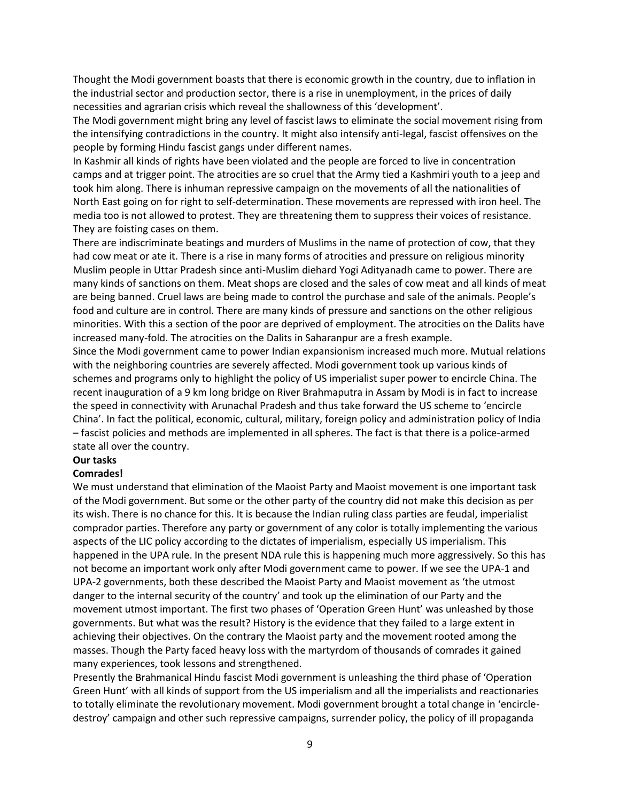Thought the Modi government boasts that there is economic growth in the country, due to inflation in the industrial sector and production sector, there is a rise in unemployment, in the prices of daily necessities and agrarian crisis which reveal the shallowness of this 'development'.

The Modi government might bring any level of fascist laws to eliminate the social movement rising from the intensifying contradictions in the country. It might also intensify anti-legal, fascist offensives on the people by forming Hindu fascist gangs under different names.

In Kashmir all kinds of rights have been violated and the people are forced to live in concentration camps and at trigger point. The atrocities are so cruel that the Army tied a Kashmiri youth to a jeep and took him along. There is inhuman repressive campaign on the movements of all the nationalities of North East going on for right to self-determination. These movements are repressed with iron heel. The media too is not allowed to protest. They are threatening them to suppress their voices of resistance. They are foisting cases on them.

There are indiscriminate beatings and murders of Muslims in the name of protection of cow, that they had cow meat or ate it. There is a rise in many forms of atrocities and pressure on religious minority Muslim people in Uttar Pradesh since anti-Muslim diehard Yogi Adityanadh came to power. There are many kinds of sanctions on them. Meat shops are closed and the sales of cow meat and all kinds of meat are being banned. Cruel laws are being made to control the purchase and sale of the animals. People's food and culture are in control. There are many kinds of pressure and sanctions on the other religious minorities. With this a section of the poor are deprived of employment. The atrocities on the Dalits have increased many-fold. The atrocities on the Dalits in Saharanpur are a fresh example.

Since the Modi government came to power Indian expansionism increased much more. Mutual relations with the neighboring countries are severely affected. Modi government took up various kinds of schemes and programs only to highlight the policy of US imperialist super power to encircle China. The recent inauguration of a 9 km long bridge on River Brahmaputra in Assam by Modi is in fact to increase the speed in connectivity with Arunachal Pradesh and thus take forward the US scheme to 'encircle China'. In fact the political, economic, cultural, military, foreign policy and administration policy of India – fascist policies and methods are implemented in all spheres. The fact is that there is a police-armed state all over the country.

#### **Our tasks**

#### **Comrades!**

We must understand that elimination of the Maoist Party and Maoist movement is one important task of the Modi government. But some or the other party of the country did not make this decision as per its wish. There is no chance for this. It is because the Indian ruling class parties are feudal, imperialist comprador parties. Therefore any party or government of any color is totally implementing the various aspects of the LIC policy according to the dictates of imperialism, especially US imperialism. This happened in the UPA rule. In the present NDA rule this is happening much more aggressively. So this has not become an important work only after Modi government came to power. If we see the UPA-1 and UPA-2 governments, both these described the Maoist Party and Maoist movement as 'the utmost danger to the internal security of the country' and took up the elimination of our Party and the movement utmost important. The first two phases of 'Operation Green Hunt' was unleashed by those governments. But what was the result? History is the evidence that they failed to a large extent in achieving their objectives. On the contrary the Maoist party and the movement rooted among the masses. Though the Party faced heavy loss with the martyrdom of thousands of comrades it gained many experiences, took lessons and strengthened.

Presently the Brahmanical Hindu fascist Modi government is unleashing the third phase of 'Operation Green Hunt' with all kinds of support from the US imperialism and all the imperialists and reactionaries to totally eliminate the revolutionary movement. Modi government brought a total change in 'encircledestroy' campaign and other such repressive campaigns, surrender policy, the policy of ill propaganda